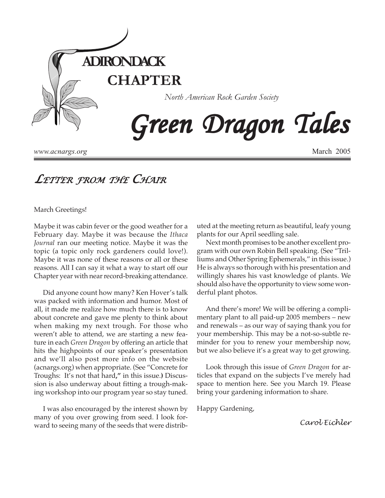

*www.acnargs.org*

March 2005

# *LETTER FROM THE CHAIR*

March Greetings!

Maybe it was cabin fever or the good weather for a February day. Maybe it was because the *Ithaca Journal* ran our meeting notice. Maybe it was the topic (a topic only rock gardeners could love!). Maybe it was none of these reasons or all or these reasons. All I can say it what a way to start off our Chapter year with near record-breaking attendance.

Did anyone count how many? Ken Hover's talk was packed with information and humor. Most of all, it made me realize how much there is to know about concrete and gave me plenty to think about when making my next trough. For those who weren't able to attend, we are starting a new feature in each *Green Dragon* by offering an article that hits the highpoints of our speaker's presentation and we'll also post more info on the website (acnargs.org) when appropriate. (See "Concrete for Troughs: It's not that hard**,"** in this issue.**)** Discussion is also underway about fitting a trough-making workshop into our program year so stay tuned.

I was also encouraged by the interest shown by many of you over growing from seed. I look forward to seeing many of the seeds that were distributed at the meeting return as beautiful, leafy young plants for our April seedling sale.

Next month promises to be another excellent program with our own Robin Bell speaking. (See "Trilliums and Other Spring Ephemerals," in this issue.) He is always so thorough with his presentation and willingly shares his vast knowledge of plants. We should also have the opportunity to view some wonderful plant photos.

And there's more! We will be offering a complimentary plant to all paid-up 2005 members – new and renewals – as our way of saying thank you for your membership. This may be a not-so-subtle reminder for you to renew your membership now, but we also believe it's a great way to get growing.

Look through this issue of *Green Dragon* for articles that expand on the subjects I've merely had space to mention here. See you March 19. Please bring your gardening information to share.

Happy Gardening,

*Carol Eichler*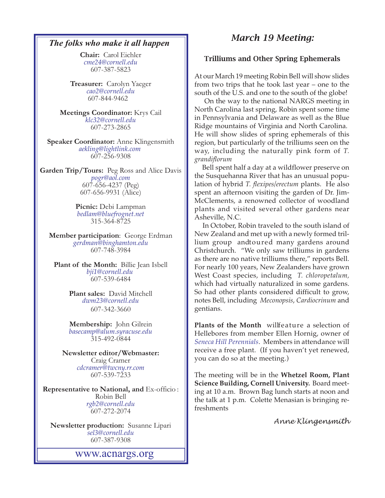#### *The folks who make it all happen*

**Chair:** Carol Eichler *[cme24@cornell.edu](mailto:cme24@cornell.ed)* 607-387-5823

**Treasurer:** Carolyn Yaeger *[cao2@cornell.edu](mailto:cao2@cornell.edu)* 607-844-9462

**Meetings Coordinator:** Krys Cail *[klc32@cornell.edu](mailto:klc32@cornell.edu)* 607-273-2865

**Speaker Coordinator:** Anne Klingensmith *[aekling@lightlink.com](mailto:aekling@lightlink.com)*  607-256-9308

**Garden Trip/Tours:** Peg Ross and Alice Davis *[pogr@aol.com](mailto:pogr@aol.com)* 607-656-4237 (Peg) 607-656-9931 (Alice)

> **Picnic:** Debi Lampman *[bedlam@bluefrognet.net](mailto:bedlam@bluefrognet.net)* 315-364-8725

**Member participation**: George Erdman *[gerdman@binghamton.edu](Mailto:gerdman@binghamton.edu)* 607-748-3984

**Plant of the Month:** Billie Jean Isbell *[bji1@cornell.edu](mailto: bji1@cornell.edu|)*  607-539-6484

> **Plant sales:** David Mitchell *[dwm23@cornell.edu](mailto:dwm23@cornell.edu)* 607-342-3660

> **Membership:** John Gilrein *[basecamp@alum.syracuse.edu](mailto:basecamp@alum.syracuse.edu)* 315-492-0844

**Newsletter editor/Webmaster:** Craig Cramer *[cdcramer@twcny.rr.com](Mailto:cdcramer@twcny.rr.com)* 607-539-7233

**Representative to National, and** Ex-officio : Robin Bell *[rgb2@cornell.edu](mailto:rgb2@cornell.edu)* 607-272-2074

**Newsletter production:** Susanne Lipari *[sel3@cornell.edu](mailto:sel3@cornell.edu)* 607-387-9308

<www.acnargs.org>

## *March 19 Meeting:*

#### Trilliums and Other Spring Ephemerals

At our March 19 meeting Robin Bell will show slides from two trips that he took last year – one to the south of the U.S. and one to the south of the globe!

On the way to the national NARGS meeting in North Carolina last spring, Robin spent some time in Pennsylvania and Delaware as well as the Blue Ridge mountains of Virginia and North Carolina. He will show slides of spring ephemerals of this region, but particularly of the trilliums seen on the way, including the naturally pink form of *T. grandiflorum*

Bell spent half a day at a wildflower preserve on the Susquehanna River that has an unusual population of hybrid *T. flexipes/erectum* plants. He also spent an afternoon visiting the garden of Dr. Jim-McClements, a renowned collector of woodland plants and visited several other gardens near Asheville, N.C.

In October, Robin traveled to the south island of New Zealand and met up with a newly formed trillium group andtoured many gardens around Christchurch. "We only saw trilliums in gardens as there are no native trilliums there," reports Bell. For nearly 100 years, New Zealanders have grown West Coast species, including *T. chloropetalum,* which had virtually naturalized in some gardens. So had other plants considered difficult to grow, notes Bell, including *Meconopsis*, *Cardiocrinum* and gentians.

Plants of the Month willfeature a selection of Hellebores from member Ellen Hornig, owner of *[Seneca Hill Perennials](http://www.senecahill.com/)*. Members in attendance will receive a free plant. (If you haven't yet renewed, you can do so at the meeting.)

The meeting will be in the **Whetzel Room, Plant Science Building, Cornell University.** Board meeting at 10 a.m. Brown Bag lunch starts at noon and the talk at 1 p.m. Colette Menasian is bringing re freshments

*Anne Klingensmith*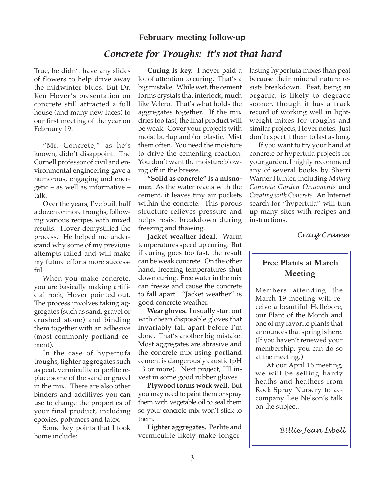#### February meeting follow-up

## *Concrete for Troughs: It's not that hard*

True, he didn't have any slides of flowers to help drive away the midwinter blues. But Dr. Ken Hover's presentation on concrete still attracted a full house (and many new faces) to our first meeting of the year on February 19.

"Mr. Concrete," as he's known, didn't disappoint. The Cornell professor of civil and environmental engineering gave a humorous, engaging and energetic – as well as informative – talk.

Over the years, I've built half a dozen or more troughs, following various recipes with mixed results. Hover demystified the process. He helped me understand why some of my previous attempts failed and will make my future efforts more success $f_{11}$ ].

When you make concrete, you are basically making artificial rock, Hover pointed out. The process involves taking aggregates (such as sand, gravel or crushed stone) and binding them together with an adhesive (most commonly portland cement).

In the case of hypertufa troughs, lighter aggregates such as peat, vermiculite or perlite replace some of the sand or gravel in the mix. There are also other binders and additives you can use to change the properties of your final product, including epoxies, polymers and latex.

Some key points that I took home include:

**Curing is key.** I never paid a lot of attention to curing. That's a big mistake. While wet, the cement forms crystals that interlock, much like Velcro. That's what holds the aggregates together. If the mix dries too fast, the final product will be weak. Cover your projects with moist burlap and/or plastic. Mist them often. You need the moisture to drive the cementing reaction. You don't want the moisture blowing off in the breeze.

**"Solid as concrete" is a misnomer.** As the water reacts with the cement, it leaves tiny air pockets within the concrete. This porous structure relieves pressure and helps resist breakdown during freezing and thawing.

**Jacket weather ideal.** Warm temperatures speed up curing. But if curing goes too fast, the result can be weak concrete. On the other hand, freezing temperatures shut down curing. Free water in the mix can freeze and cause the concrete to fall apart. "Jacket weather" is good concrete weather.

**Wear gloves.** I usually start out with cheap disposable gloves that invariably fall apart before I'm done. That's another big mistake. Most aggregates are abrasive and the concrete mix using portland cement is dangerously caustic (pH 13 or more). Next project, I'll invest in some good rubber gloves.

**Plywood forms work well.** But you may need to paint them or spray them with vegetable oil to seal them so your concrete mix won't stick to them.

**Lighter aggregates.** Perlite and vermiculite likely make longerlasting hypertufa mixes than peat because their mineral nature resists breakdown. Peat, being an organic, is likely to degrade sooner, though it has a track record of working well in lightweight mixes for troughs and similar projects, Hover notes. Just don't expect it them to last as long.

If you want to try your hand at concrete or hypertufa projects for your garden, I highly recommend any of several books by Sherri Warner Hunter, including *Making Concrete Garden Ornaments* and *Creating with Concrete.* An Internet search for "hypertufa" will turn up many sites with recipes and instructions.

*Craig Cramer*

## **Free Plants at March Meeting**

Members attending the March 19 meeting will receive a beautiful Hellebore, our Plant of the Month and one of my favorite plants that announces that spring is here. (If you haven't renewed your membership, you can do so at the meeting.)

At our April 16 meeting, we will be selling hardy heaths and heathers from Rock Spray Nursery to accompany Lee Nelson's talk on the subject.

*Billie Jean Isbell*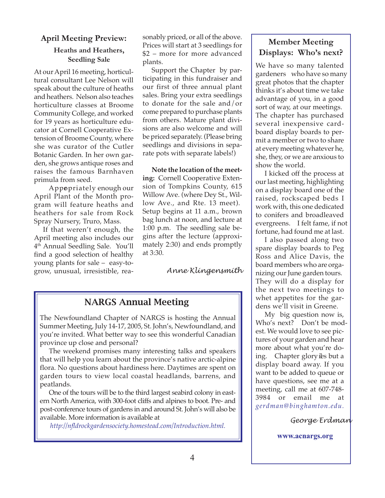### **April Meeting Preview:**

#### **Heaths and Heathers, Seedling Sale**

At our April 16 meeting, horticultural consultant Lee Nelson will speak about the culture of heaths and heathers. Nelson also teaches horticulture classes at Broome Community College, and worked for 19 years as horticulture educator at Cornell Cooperative Extension of Broome County, where she was curator of the Cutler Botanic Garden. In her own garden, she grows antique roses and raises the famous Barnhaven primula from seed.

Appropriately enough our April Plant of the Month program will feature heaths and heathers for sale from Rock Spray Nursery, Truro, Mass.

If that weren't enough, the April meeting also includes our 4th Annual Seedling Sale. You'll find a good selection of healthy young plants for sale – easy-togrow, unusual, irresistible, reasonably priced, or all of the above. Prices will start at 3 seedlings for \$2 – more for more advanced plants.

Support the Chapter by participating in this fundraiser and our first of three annual plant sales. Bring your extra seedlings to donate for the sale and/or come prepared to purchase plants from others. Mature plant divisions are also welcome and will be priced separately. (Please bring seedlings and divisions in separate pots with separate labels!)

**Note the location of the meeting:** Cornell Cooperative Extension of Tompkins County, 615 Willow Ave. (where Dey St., Willow Ave., and Rte. 13 meet). Setup begins at 11 a.m., brown bag lunch at noon, and lecture at 1:00 p.m. The seedling sale begins after the lecture (approximately 2:30) and ends promptly at 3:30.

#### *Anne Klingensmith*

## NARGS Annual Meeting

The Newfoundland Chapter of NARGS is hosting the Annual Summer Meeting, July 14-17, 2005, St. John's, Newfoundland, and you're invited. What better way to see this wonderful Canadian province up close and personal?

The weekend promises many interesting talks and speakers that will help you learn about the province's native arctic-alpine flora. No questions about hardiness here. Daytimes are spent on garden tours to view local coastal headlands, barrens, and peatlands.

One of the tours will be to the third largest seabird colony in eastern North America, with 300-foot cliffs and alpines to boot. Pre- and post-conference tours of gardens in and around St. John's will also be available. More information is available at

*http://nfldrockgardensociety.homestead.com/Introduction.html.*

## **Member Meeting Displays: Who's next?**

We have so many talented gardeners who have so many great photos that the chapter thinks it's about time we take advantage of you, in a good sort of way, at our meetings. The chapter has purchased several inexpensive cardboard display boards to permit a member or two to share at every meeting whatever he, she, they, or we are anxious to show the world.

I kicked off the process at our last meeting, highlighting on a display board one of the raised, rockscaped beds I work with, this one dedicated to conifers and broadleaved evergreens. I felt fame, if not fortune, had found me at last.

I also passed along two spare display boards to Peg Ross and Alice Davis, the board members who are organizing our June garden tours. They will do a display for the next two meetings to whet appetites for the gardens we'll visit in Greene.

My big question now is, Who's next? Don't be modest. We would love to see pictures of your garden and hear more about what you're doing. Chapter glory ikes but a display board away. If you want to be added to queue or have questions, see me at a meeting, call me at 607-748- 3984 or email me at *gerdman@binghamton.edu.*

*George Erdman*

**<www.acnargs.org>**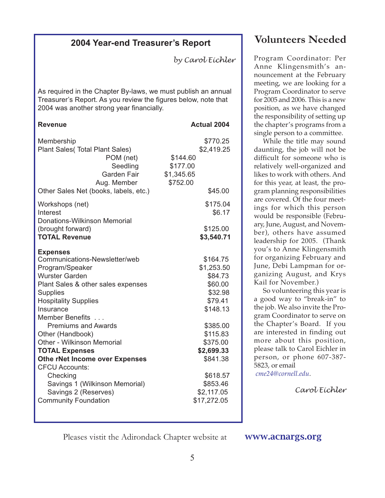## **2004 Year-end Treasurer's Report**

*by Carol Eichler*

As required in the Chapter By-laws, we must publish an annual Treasurer's Report. As you review the figures below, note that 2004 was another strong year financially.

| <b>Revenue</b>                                                                                                                     | <b>Actual 2004</b>                                                                  |
|------------------------------------------------------------------------------------------------------------------------------------|-------------------------------------------------------------------------------------|
| Membership<br>Plant Sales (Total Plant Sales)<br>POM (net)<br>Seedling<br>Garden Fair<br>Aug. Member                               | \$770.25<br>\$2,419.25<br>\$144.60<br>\$177.00<br>\$1,345.65<br>\$752.00<br>\$45.00 |
| Other Sales Net (books, labels, etc.)                                                                                              |                                                                                     |
| Workshops (net)<br>Interest<br>Donations-Wilkinson Memorial                                                                        | \$175.04<br>\$6.17                                                                  |
| (brought forward)<br><b>TOTAL Revenue</b>                                                                                          | \$125.00<br>\$3,540.71                                                              |
| <b>Expenses</b><br>Communications-Newsletter/web<br>Program/Speaker<br><b>Wurster Garden</b><br>Plant Sales & other sales expenses | \$164.75<br>\$1,253.50<br>\$84.73<br>\$60.00                                        |
| <b>Supplies</b>                                                                                                                    | \$32.98                                                                             |
| <b>Hospitality Supplies</b><br>Insurance<br><b>Member Benefits</b>                                                                 | \$79.41<br>\$148.13                                                                 |
| <b>Premiums and Awards</b><br>Other (Handbook)                                                                                     | \$385.00<br>\$115.83                                                                |
| Other - Wilkinson Memorial                                                                                                         | \$375.00                                                                            |
| <b>TOTAL Expenses</b>                                                                                                              | \$2,699.33                                                                          |
| Othe rNet Income over Expenses<br><b>CFCU Accounts:</b>                                                                            | \$841.38                                                                            |
| Checking                                                                                                                           | \$618.57                                                                            |
| Savings 1 (Wilkinson Memorial)                                                                                                     | \$853.46                                                                            |
| Savings 2 (Reserves)<br><b>Community Foundation</b>                                                                                | \$2,117.05<br>\$17,272.05                                                           |
|                                                                                                                                    |                                                                                     |

# **Volunteers Needed**

Program Coordinator: Per Anne Klingensmith's announcement at the February meeting, we are looking for a Program Coordinator to serve for 2005 and 2006. This is a new position, as we have changed the responsibility of setting up the chapter's programs from a single person to a committee.

While the title may sound daunting, the job will not be difficult for someone who is relatively well-organized and likes to work with others. And for this year, at least, the program planning responsibilities are covered. Of the four meetings for which this person would be responsible (February, June, August, and November), others have assumed leadership for 2005. (Thank you's to Anne Klingensmith for organizing February and June, Debi Lampman for organizing August, and Krys Kail for November.)

So volunteering this year is a good way to "break-in" to the job. We also invite the Program Coordinator to serve on the Chapter's Board. If you are interested in finding out more about this position, please talk to Carol Eichler in person, or phone 607-387- 5823, or email

*[cme24@cornell.edu](mailto:cme24@cornell.ed)*.

*Carol Eichler*

Pleases vistit the Adirondack Chapter website at **www.acnargs.org**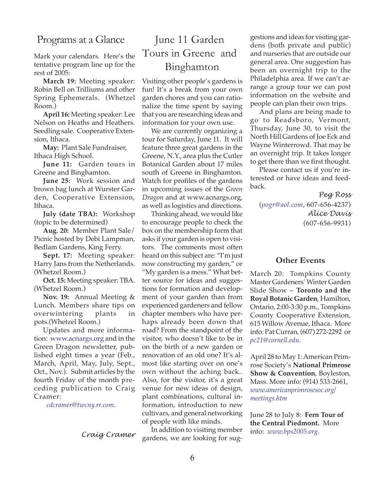## Programs at a Glance

Mark your calendars. Here's the tentative program line up for the rest of 2005:

**March 19:** Meeting speaker: Robin Bell on Trilliums and other Spring Ephemerals. (Whetzel Room.)

**April 16:** Meeting speaker: Lee Nelson on Heaths and Heathers. Seedling sale. Cooperative Extension, Ithaca.

**May:** Plant Sale Fundraiser, Ithaca High School.

**June 11:** Garden tours in Greene and Binghamton.

**June 25:** Work session and brown bag lunch at Wurster Garden, Cooperative Extension, Ithaca.

**July (date TBA):** Workshop (topic to be determined)

**Aug. 20:** Member Plant Sale/ Picnic hosted by Debi Lampman, Bedlam Gardens, King Ferry.

**Sept. 17:** Meeting speaker: Harry Jans from the Netherlands. (Whetzel Room.)

**Oct. 15:** Meeting speaker: TBA. (Whetzel Room.)

**Nov. 19:** Annual Meeting & Lunch. Members share tips on overwintering plants in pots.(Whetzel Room.)

Updates and more information: <www.acnargs.org> and in the Green Dragon newsletter, published eight times a year (Feb., March, April, May, July, Sept., Oct., Nov.). Submit articles by the fourth Friday of the month preceding publication to Craig Cramer:

*[cdcramer@twcny.rr.com](Mailto:cdcramer@twcny.rr.com)*.

*Craig Cramer*

# June 11 Garden Tours in Greene and Binghamton

Visiting other people's gardens is fun! It's a break from your own garden chores and you can rationalize the time spent by saying that you are researching ideas and information for your own use.

We are currently organizing a tour for Saturday, June 11. It will feature three great gardens in the Greene, N.Y., area plus the Cutler Botanical Garden about 17 miles south of Greene in Binghamton. Watch for profiles of the gardens in upcoming issues of the *Green Dragon* and at www.acnargs.org, as well as logistics and directions.

Thinking ahead, we would like to encourage people to check the box on the membership form that asks if your garden is open to visitors. The comments most often heard on this subject are: "I'm just now constructing my garden," or "My garden is a mess." What better source for ideas and suggestions for formation and development of your garden than from experienced gardeners and fellow chapter members who have perhaps already been down that road? From the standpoint of the visitor, who doesn't like to be in on the birth of a new garden or renovation of an old one? It's almost like starting over on one's own without the aching back.. Also, for the visitor, it's a great venue for new ideas of design, plant combinations, cultural information, introduction to new cultivars, and general networking of people with like minds.

In addition to visiting member gardens, we are looking for suggestions and ideas for visiting gardens (both private and public) and nurseries that are outside our general area. One suggestion has been an overnight trip to the Philadelphia area. If we can't arrange a group tour we can post information on the website and people can plan their own trips.

And plans are being made to go to Readsboro, Vermont, Thursday, June 30, to visit the North Hill Gardens of Joe Eck and Wayne Winterrowd. That may be an overnight trip. It takes longer to get there than we first thought.

Please contact us if you're interested or have ideas and feedback.

#### *Peg Ross*

(*[pogr@aol.com](mailto:pogr@aol.com)*, 607-656-4237) *Alice Davis* (607-656-9931)

#### **Other Events**

March 20: Tompkins County Master Gardeners' Winter Garden Slide Show – **Toronto and the Royal Botanic Garden**, Hamilton, Ontario, 2:00-3:30 p.m., Tompkins County Cooperative Extension, 615 Willow Avenue, Ithaca. More info: Pat Curran, (607) 272-2292 or *[pc21@cornell.edu](mailto:pc21@cornell.edu)*.

April 28 to May 1: American Primrose Society's **National Primrose Show & Convention**, Boyleston, Mass. More info: (914) 533-2661, *www.americanprimrosesoc.org/ meetings.htm*

June 28 to July 8: **Fern Tour of the Central Piedmont.** More info: *www.bps2005.org*.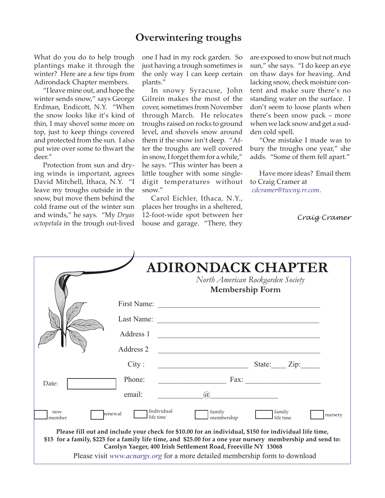## **Overwintering troughs**

What do you do to help trough plantings make it through the winter? Here are a few tips from Adirondack Chapter members.

"I leave mine out, and hope the winter sends snow," says George Erdman, Endicott, N.Y. "When the snow looks like it's kind of thin, I may shovel some more on top, just to keep things covered and protected from the sun. I also put wire over some to thwart the deer."

Protection from sun and drying winds is important, agrees David Mitchell, Ithaca, N.Y. "I leave my troughs outside in the snow, but move them behind the cold frame out of the winter sun and winds," he says. "My *Dryas octopetala* in the trough out-lived

one I had in my rock garden. So just having a trough sometimes is the only way I can keep certain plants."

In snowy Syracuse, John Gilrein makes the most of the cover, sometimes from November through March. He relocates troughs raised on rocks to ground level, and shovels snow around them if the snow isn't deep. "After the troughs are well covered in snow, I forget them for a while," he says. "This winter has been a little tougher with some singledigit temperatures without snow."

Carol Eichler, Ithaca, N.Y., places her troughs in a sheltered, 12-foot-wide spot between her house and garage. "There, they *Craig Cramer*

are exposed to snow but not much sun," she says. "I do keep an eye on thaw days for heaving. And lacking snow, check moisture content and make sure there's no standing water on the surface. I don't seem to loose plants when there's been snow pack – more when we lack snow and get a sudden cold spell.

"One mistake I made was to bury the troughs one year," she adds. "Some of them fell apart."

Have more ideas? Email them to Craig Cramer at *[cdcramer@twcny.rr.com](Mailto:cdcramer@twcny.rr.com)*.

|                                                                                                                                                                                                                                                                                                                                                                       |                                    | <b>ADIRONDACK CHAPTER</b><br>North American Rockgarden Society<br>Membership Form                                                                                                                                             |
|-----------------------------------------------------------------------------------------------------------------------------------------------------------------------------------------------------------------------------------------------------------------------------------------------------------------------------------------------------------------------|------------------------------------|-------------------------------------------------------------------------------------------------------------------------------------------------------------------------------------------------------------------------------|
|                                                                                                                                                                                                                                                                                                                                                                       |                                    |                                                                                                                                                                                                                               |
|                                                                                                                                                                                                                                                                                                                                                                       |                                    | Last Name:                                                                                                                                                                                                                    |
|                                                                                                                                                                                                                                                                                                                                                                       | Address 1                          | <u> 1989 - Johann Stoff, deutscher Stoff, der Stoff, der Stoff, der Stoff, der Stoff, der Stoff, der Stoff, der S</u>                                                                                                         |
|                                                                                                                                                                                                                                                                                                                                                                       | Address 2                          | the control of the control of the control of the control of the control of the control of the control of the control of the control of the control of the control of the control of the control of the control of the control |
|                                                                                                                                                                                                                                                                                                                                                                       | City:                              | State: Zip:<br><u> 2000 - Jan Samuel Barbara, margaret e</u>                                                                                                                                                                  |
| Date:                                                                                                                                                                                                                                                                                                                                                                 | Phone:                             | $\text{Fax}:$                                                                                                                                                                                                                 |
|                                                                                                                                                                                                                                                                                                                                                                       | email:                             | $\mathcal{D}_{\alpha}$                                                                                                                                                                                                        |
| new<br>member                                                                                                                                                                                                                                                                                                                                                         | Individual<br>renewal<br>life time | family<br>family<br>nursery<br>membership<br>life time                                                                                                                                                                        |
| Please fill out and include your check for \$10.00 for an individual, \$150 for individual life time,<br>\$15 for a family, \$225 for a family life time, and \$25.00 for a one year nursery membership and send to:<br>Carolyn Yaeger, 400 Irish Settlement Road, Freeville NY 13068<br>Please visit www.acnargs.org for a more detailed membership form to download |                                    |                                                                                                                                                                                                                               |